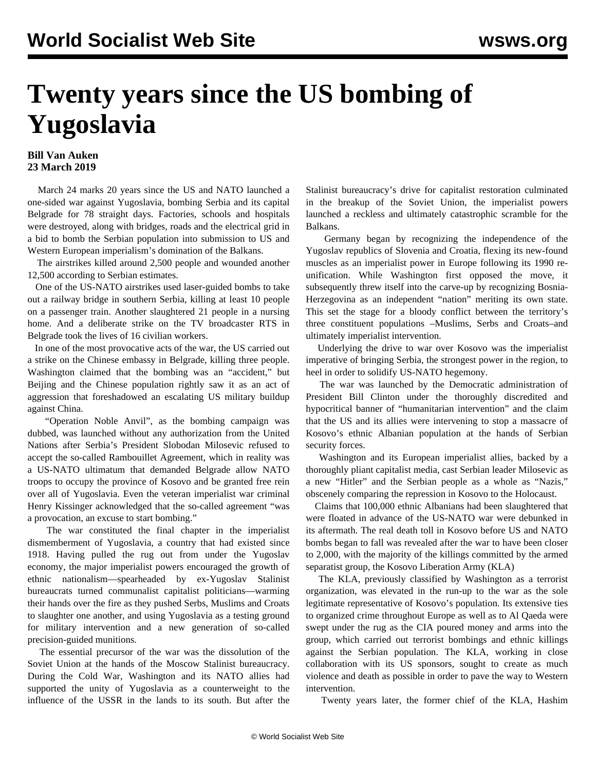## **Twenty years since the US bombing of Yugoslavia**

## **Bill Van Auken 23 March 2019**

 March 24 marks 20 years since the US and NATO launched a one-sided war against Yugoslavia, bombing Serbia and its capital Belgrade for 78 straight days. Factories, schools and hospitals were destroyed, along with bridges, roads and the electrical grid in a bid to bomb the Serbian population into submission to US and Western European imperialism's domination of the Balkans.

 The airstrikes killed around 2,500 people and wounded another 12,500 according to Serbian estimates.

 One of the US-NATO airstrikes used laser-guided bombs to take out a railway bridge in southern Serbia, killing at least 10 people on a passenger train. Another slaughtered 21 people in a nursing home. And a deliberate strike on the TV broadcaster RTS in Belgrade took the lives of 16 civilian workers.

 In one of the most provocative acts of the war, the US carried out a strike on the Chinese embassy in Belgrade, killing three people. Washington claimed that the bombing was an "accident," but Beijing and the Chinese population rightly saw it as an act of aggression that foreshadowed an escalating US military buildup against China.

 "Operation Noble Anvil", as the bombing campaign was dubbed, was launched without any authorization from the United Nations after Serbia's President Slobodan Milosevic refused to accept the so-called Rambouillet Agreement, which in reality was a US-NATO ultimatum that demanded Belgrade allow NATO troops to occupy the province of Kosovo and be granted free rein over all of Yugoslavia. Even the veteran imperialist war criminal Henry Kissinger acknowledged that the so-called agreement "was a provocation, an excuse to start bombing."

 The war constituted the final chapter in the imperialist dismemberment of Yugoslavia, a country that had existed since 1918. Having pulled the rug out from under the Yugoslav economy, the major imperialist powers encouraged the growth of ethnic nationalism—spearheaded by ex-Yugoslav Stalinist bureaucrats turned communalist capitalist politicians—warming their hands over the fire as they pushed Serbs, Muslims and Croats to slaughter one another, and using Yugoslavia as a testing ground for military intervention and a new generation of so-called precision-guided munitions.

 The essential precursor of the war was the dissolution of the Soviet Union at the hands of the Moscow Stalinist bureaucracy. During the Cold War, Washington and its NATO allies had supported the unity of Yugoslavia as a counterweight to the influence of the USSR in the lands to its south. But after the

Stalinist bureaucracy's drive for capitalist restoration culminated in the breakup of the Soviet Union, the imperialist powers launched a reckless and ultimately catastrophic scramble for the Balkans.

 Germany began by recognizing the independence of the Yugoslav republics of Slovenia and Croatia, flexing its new-found muscles as an imperialist power in Europe following its 1990 reunification. While Washington first opposed the move, it subsequently threw itself into the carve-up by recognizing Bosnia-Herzegovina as an independent "nation" meriting its own state. This set the stage for a bloody conflict between the territory's three constituent populations –Muslims, Serbs and Croats–and ultimately imperialist intervention.

 Underlying the drive to war over Kosovo was the imperialist imperative of bringing Serbia, the strongest power in the region, to heel in order to solidify US-NATO hegemony.

 The war was launched by the Democratic administration of President Bill Clinton under the thoroughly discredited and hypocritical banner of "humanitarian intervention" and the claim that the US and its allies were intervening to stop a massacre of Kosovo's ethnic Albanian population at the hands of Serbian security forces.

 Washington and its European imperialist allies, backed by a thoroughly pliant capitalist media, cast Serbian leader Milosevic as a new "Hitler" and the Serbian people as a whole as "Nazis," obscenely comparing the repression in Kosovo to the Holocaust.

 Claims that 100,000 ethnic Albanians had been slaughtered that were floated in advance of the US-NATO war were debunked in its aftermath. The real death toll in Kosovo before US and NATO bombs began to fall was revealed after the war to have been closer to 2,000, with the majority of the killings committed by the armed separatist group, the Kosovo Liberation Army (KLA)

 The KLA, previously classified by Washington as a terrorist organization, was elevated in the run-up to the war as the sole legitimate representative of Kosovo's population. Its extensive ties to organized crime throughout Europe as well as to Al Qaeda were swept under the rug as the CIA poured money and arms into the group, which carried out terrorist bombings and ethnic killings against the Serbian population. The KLA, working in close collaboration with its US sponsors, sought to create as much violence and death as possible in order to pave the way to Western intervention.

Twenty years later, the former chief of the KLA, Hashim